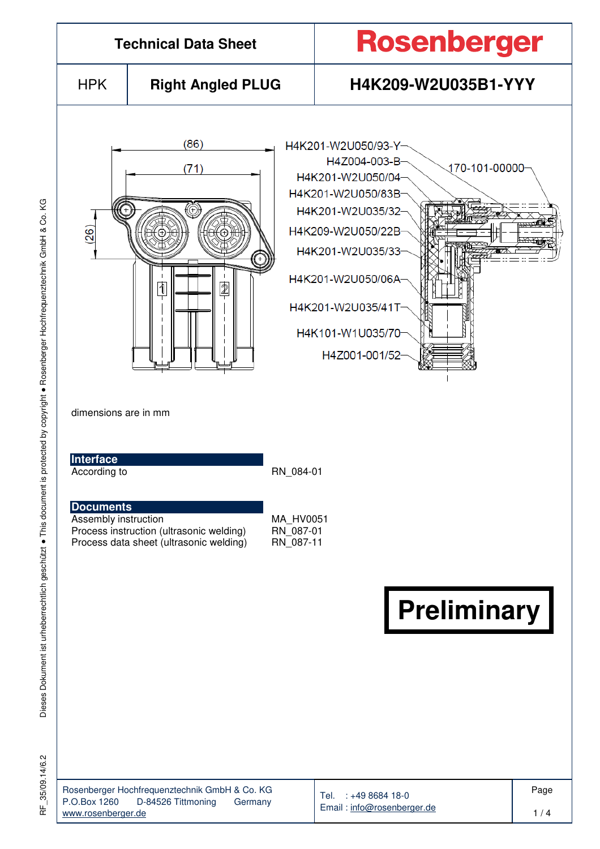

Dieses Dokument ist urheberrechtlich geschützt ● This document is protected by copyright ● Rosenberger Hochfrequenztechnik GmbH & Co. KG Dieses Dokument ist urheberrechtlich geschützt . This document is protected by copyright . Rosenberger Hochfrequenztechnik GmbH & Co.

KG

35/09.14/6.2 RF\_35/09.14/6.2 눈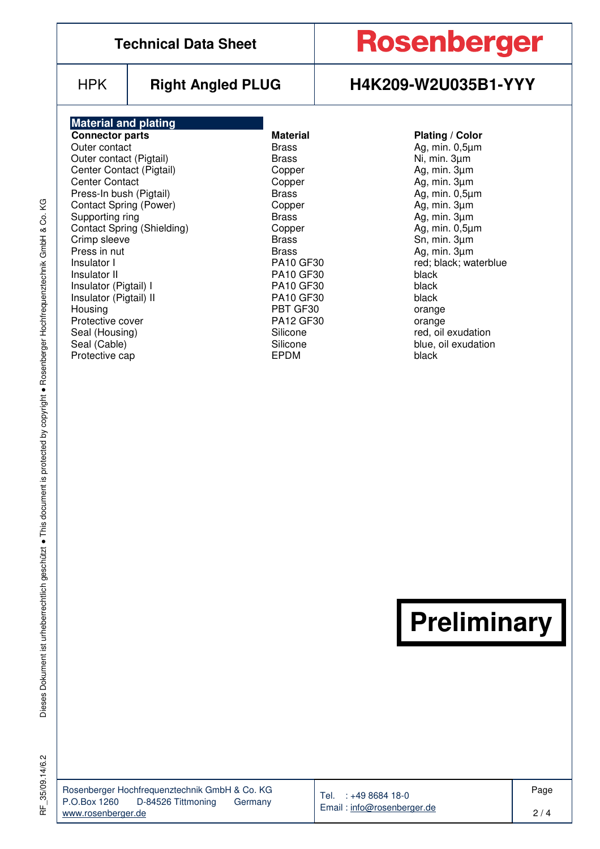|                                                                                                                                                                                                                                                                                                                                                                                                                                            | <b>Technical Data Sheet</b>       |                                                                                                                                                                                                                                                                                                         | <b>Rosenberger</b>                                                                                                                                                                                                                                                                                                                                  |
|--------------------------------------------------------------------------------------------------------------------------------------------------------------------------------------------------------------------------------------------------------------------------------------------------------------------------------------------------------------------------------------------------------------------------------------------|-----------------------------------|---------------------------------------------------------------------------------------------------------------------------------------------------------------------------------------------------------------------------------------------------------------------------------------------------------|-----------------------------------------------------------------------------------------------------------------------------------------------------------------------------------------------------------------------------------------------------------------------------------------------------------------------------------------------------|
| <b>HPK</b>                                                                                                                                                                                                                                                                                                                                                                                                                                 | <b>Right Angled PLUG</b>          |                                                                                                                                                                                                                                                                                                         | H4K209-W2U035B1-YYY                                                                                                                                                                                                                                                                                                                                 |
| <b>Material and plating</b><br><b>Connector parts</b><br>Outer contact<br>Outer contact (Pigtail)<br>Center Contact (Pigtail)<br><b>Center Contact</b><br>Press-In bush (Pigtail)<br><b>Contact Spring (Power)</b><br>Supporting ring<br>Crimp sleeve<br>Press in nut<br>Insulator I<br>Insulator II<br>Insulator (Pigtail) I<br>Insulator (Pigtail) II<br>Housing<br>Protective cover<br>Seal (Housing)<br>Seal (Cable)<br>Protective cap | <b>Contact Spring (Shielding)</b> | <b>Material</b><br><b>Brass</b><br><b>Brass</b><br>Copper<br>Copper<br><b>Brass</b><br>Copper<br><b>Brass</b><br>Copper<br><b>Brass</b><br><b>Brass</b><br><b>PA10 GF30</b><br><b>PA10 GF30</b><br><b>PA10 GF30</b><br><b>PA10 GF30</b><br>PBT GF30<br>PA12 GF30<br>Silicone<br>Silicone<br><b>EPDM</b> | <b>Plating / Color</b><br>Ag, min. $0,5\mu m$<br>Ni, min. 3um<br>Ag, min. $3\mu$ m<br>Ag, min. 3µm<br>Ag, min. $0,5\mu m$<br>Ag, min. $3\mu$ m<br>Ag, min. 3um<br>Ag, min. $0,5\mu m$<br>Sn, min. 3µm<br>Ag, min. 3µm<br>red; black; waterblue<br>black<br>black<br>black<br>orange<br>orange<br>red, oil exudation<br>blue, oil exudation<br>black |
|                                                                                                                                                                                                                                                                                                                                                                                                                                            |                                   |                                                                                                                                                                                                                                                                                                         | <b>Preliminary</b>                                                                                                                                                                                                                                                                                                                                  |

RF\_35/09.14/6.2 RF\_35/09.14/6.2

| Rosenberger Hochfrequenztechnik GmbH & Co. KG |                    |         |  |  |  |  |  |  |
|-----------------------------------------------|--------------------|---------|--|--|--|--|--|--|
| P.O.Box 1260                                  | D-84526 Tittmoning | Germany |  |  |  |  |  |  |
| www.rosenberger.de                            |                    |         |  |  |  |  |  |  |

Tel. : +49 8684 18-0 Email : info@rosenberger.de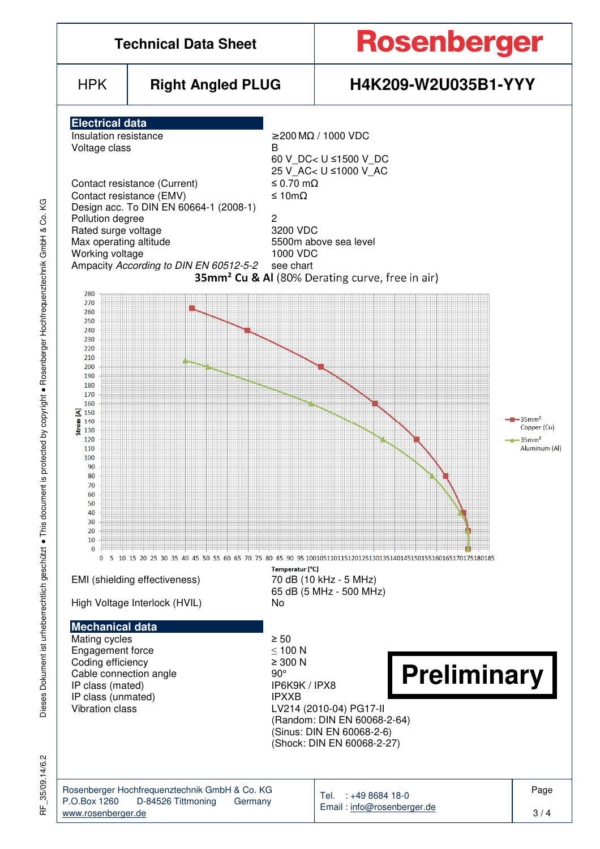

ζG

35/09.14/6.2 RF\_35/09.14/6.2 눈